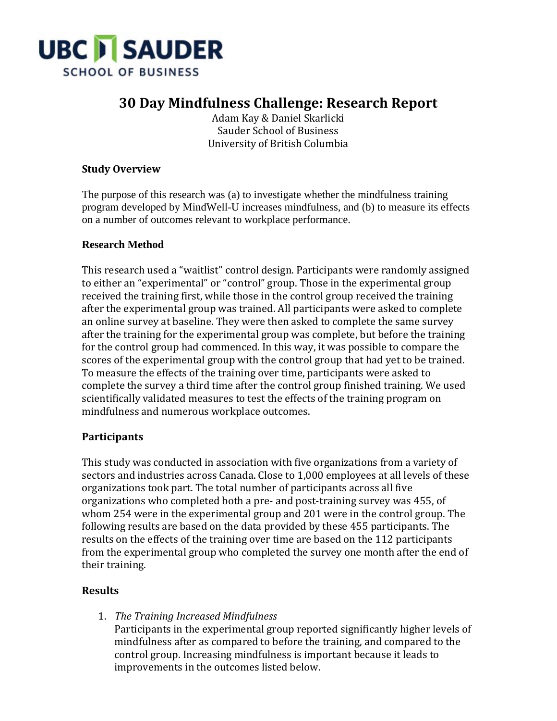

## **30 Day Mindfulness Challenge: Research Report**

Adam Kay & Daniel Skarlicki Sauder School of Business University of British Columbia

#### **Study Overview**

The purpose of this research was (a) to investigate whether the mindfulness training program developed by MindWell-U increases mindfulness, and (b) to measure its effects on a number of outcomes relevant to workplace performance.

#### **Research Method**

This research used a "waitlist" control design. Participants were randomly assigned to either an "experimental" or "control" group. Those in the experimental group received the training first, while those in the control group received the training after the experimental group was trained. All participants were asked to complete an online survey at baseline. They were then asked to complete the same survey after the training for the experimental group was complete, but before the training for the control group had commenced. In this way, it was possible to compare the scores of the experimental group with the control group that had yet to be trained. To measure the effects of the training over time, participants were asked to complete the survey a third time after the control group finished training. We used scientifically validated measures to test the effects of the training program on mindfulness and numerous workplace outcomes.

#### **Participants**

This study was conducted in association with five organizations from a variety of sectors and industries across Canada. Close to 1,000 employees at all levels of these organizations took part. The total number of participants across all five organizations who completed both a pre- and post-training survey was 455, of whom 254 were in the experimental group and 201 were in the control group. The following results are based on the data provided by these 455 participants. The results on the effects of the training over time are based on the 112 participants from the experimental group who completed the survey one month after the end of their training.

#### **Results**

1. *The Training Increased Mindfulness*

Participants in the experimental group reported significantly higher levels of mindfulness after as compared to before the training, and compared to the control group. Increasing mindfulness is important because it leads to improvements in the outcomes listed below.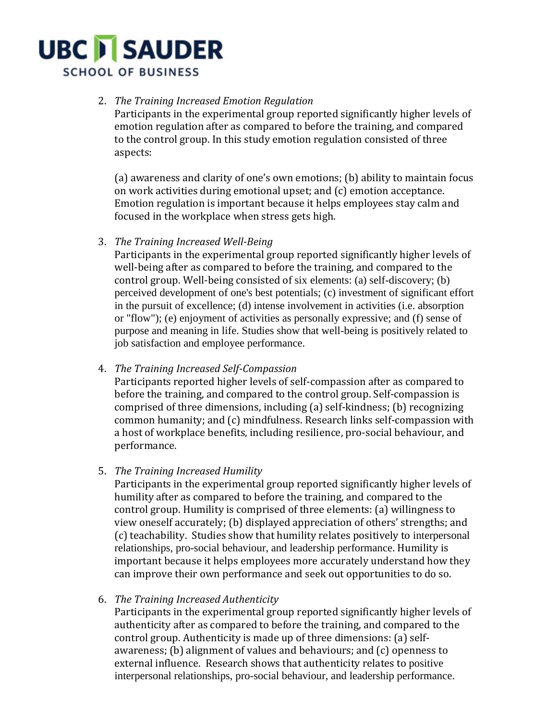# **UBC I SAUDER SCHOOL OF BUSINESS**

### 2. *The Training Increased Emotion Regulation*

Participants in the experimental group reported significantly higher levels of emotion regulation after as compared to before the training, and compared to the control group. In this study emotion regulation consisted of three aspects:

(a) awareness and clarity of one's own emotions; (b) ability to maintain focus on work activities during emotional upset; and (c) emotion acceptance. Emotion regulation is important because it helps employees stay calm and focused in the workplace when stress gets high.

3. *The Training Increased Well-Being*

Participants in the experimental group reported significantly higher levels of well-being after as compared to before the training, and compared to the control group. Well-being consisted of six elements: (a) self-discovery; (b) perceived development of one's best potentials; (c) investment of significant effort in the pursuit of excellence; (d) intense involvement in activities (i.e. absorption or "flow"); (e) enjoyment of activities as personally expressive; and (f) sense of purpose and meaning in life. Studies show that well-being is positively related to job satisfaction and employee performance.

4. *The Training Increased Self-Compassion*

Participants reported higher levels of self-compassion after as compared to before the training, and compared to the control group. Self-compassion is comprised of three dimensions, including (a) self-kindness; (b) recognizing common humanity; and (c) mindfulness. Research links self-compassion with a host of workplace benefits, including resilience, pro-social behaviour, and performance.

5. *The Training Increased Humility*

Participants in the experimental group reported significantly higher levels of humility after as compared to before the training, and compared to the control group. Humility is comprised of three elements: (a) willingness to view oneself accurately; (b) displayed appreciation of others' strengths; and (c) teachability. Studies show that humility relates positively to interpersonal relationships, pro-social behaviour, and leadership performance. Humility is important because it helps employees more accurately understand how they can improve their own performance and seek out opportunities to do so.

6. *The Training Increased Authenticity*

Participants in the experimental group reported significantly higher levels of authenticity after as compared to before the training, and compared to the control group. Authenticity is made up of three dimensions: (a) selfawareness; (b) alignment of values and behaviours; and (c) openness to external influence. Research shows that authenticity relates to positive interpersonal relationships, pro-social behaviour, and leadership performance.